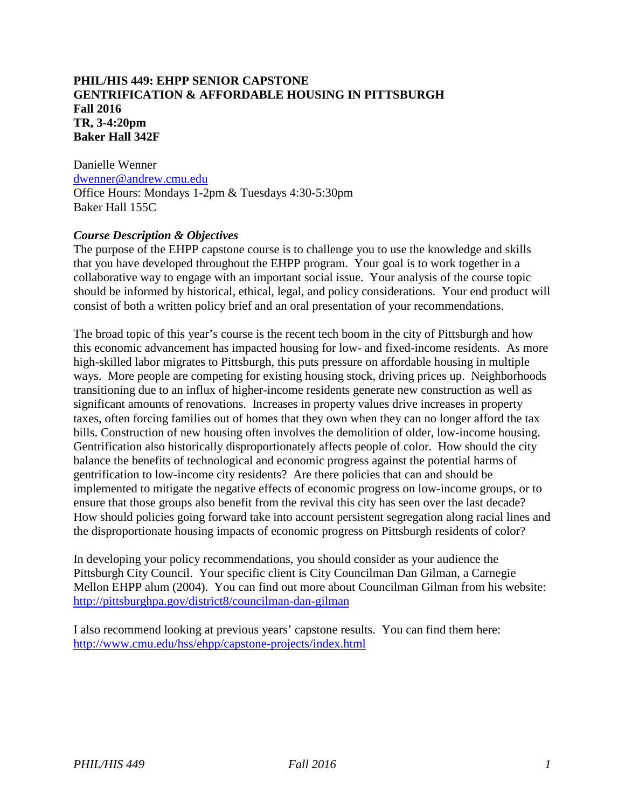## **PHIL/HIS 449: EHPP SENIOR CAPSTONE GENTRIFICATION & AFFORDABLE HOUSING IN PITTSBURGH Fall 2016 TR, 3-4:20pm Baker Hall 342F**

Danielle Wenner [dwenner@andrew.cmu.edu](mailto:dwenner@andrew.cmu.edu) Office Hours: Mondays 1-2pm & Tuesdays 4:30-5:30pm Baker Hall 155C

## *Course Description & Objectives*

The purpose of the EHPP capstone course is to challenge you to use the knowledge and skills that you have developed throughout the EHPP program. Your goal is to work together in a collaborative way to engage with an important social issue. Your analysis of the course topic should be informed by historical, ethical, legal, and policy considerations. Your end product will consist of both a written policy brief and an oral presentation of your recommendations.

The broad topic of this year's course is the recent tech boom in the city of Pittsburgh and how this economic advancement has impacted housing for low- and fixed-income residents. As more high-skilled labor migrates to Pittsburgh, this puts pressure on affordable housing in multiple ways. More people are competing for existing housing stock, driving prices up. Neighborhoods transitioning due to an influx of higher-income residents generate new construction as well as significant amounts of renovations. Increases in property values drive increases in property taxes, often forcing families out of homes that they own when they can no longer afford the tax bills. Construction of new housing often involves the demolition of older, low-income housing. Gentrification also historically disproportionately affects people of color. How should the city balance the benefits of technological and economic progress against the potential harms of gentrification to low-income city residents? Are there policies that can and should be implemented to mitigate the negative effects of economic progress on low-income groups, or to ensure that those groups also benefit from the revival this city has seen over the last decade? How should policies going forward take into account persistent segregation along racial lines and the disproportionate housing impacts of economic progress on Pittsburgh residents of color?

In developing your policy recommendations, you should consider as your audience the Pittsburgh City Council. Your specific client is City Councilman Dan Gilman, a Carnegie Mellon EHPP alum (2004). You can find out more about Councilman Gilman from his website: <http://pittsburghpa.gov/district8/councilman-dan-gilman>

I also recommend looking at previous years' capstone results. You can find them here: <http://www.cmu.edu/hss/ehpp/capstone-projects/index.html>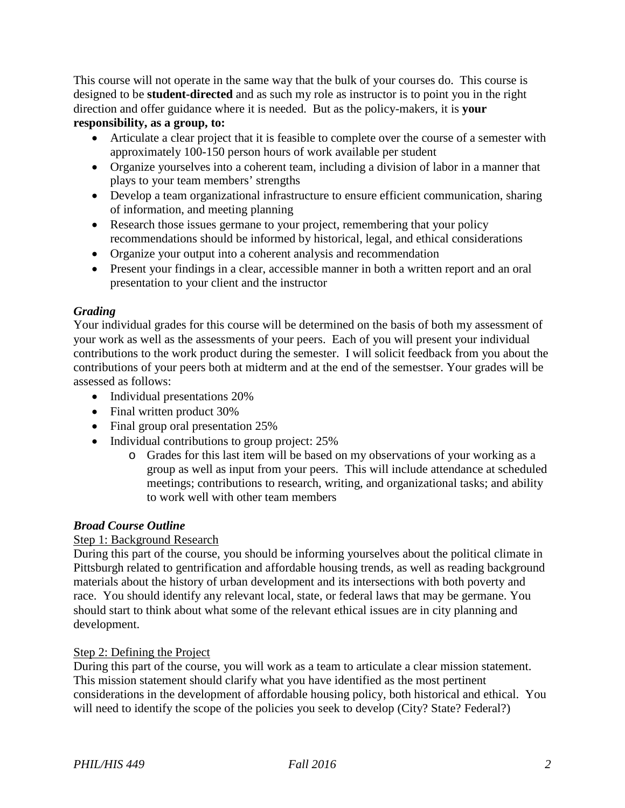This course will not operate in the same way that the bulk of your courses do. This course is designed to be **student-directed** and as such my role as instructor is to point you in the right direction and offer guidance where it is needed. But as the policy-makers, it is **your** 

## **responsibility, as a group, to:**

- Articulate a clear project that it is feasible to complete over the course of a semester with approximately 100-150 person hours of work available per student
- Organize yourselves into a coherent team, including a division of labor in a manner that plays to your team members' strengths
- Develop a team organizational infrastructure to ensure efficient communication, sharing of information, and meeting planning
- Research those issues germane to your project, remembering that your policy recommendations should be informed by historical, legal, and ethical considerations
- Organize your output into a coherent analysis and recommendation
- Present your findings in a clear, accessible manner in both a written report and an oral presentation to your client and the instructor

## *Grading*

Your individual grades for this course will be determined on the basis of both my assessment of your work as well as the assessments of your peers. Each of you will present your individual contributions to the work product during the semester. I will solicit feedback from you about the contributions of your peers both at midterm and at the end of the semestser. Your grades will be assessed as follows:

- Individual presentations 20%
- Final written product 30%
- Final group oral presentation 25%
- Individual contributions to group project: 25%
	- o Grades for this last item will be based on my observations of your working as a group as well as input from your peers. This will include attendance at scheduled meetings; contributions to research, writing, and organizational tasks; and ability to work well with other team members

### *Broad Course Outline*

### Step 1: Background Research

During this part of the course, you should be informing yourselves about the political climate in Pittsburgh related to gentrification and affordable housing trends, as well as reading background materials about the history of urban development and its intersections with both poverty and race. You should identify any relevant local, state, or federal laws that may be germane. You should start to think about what some of the relevant ethical issues are in city planning and development.

### Step 2: Defining the Project

During this part of the course, you will work as a team to articulate a clear mission statement. This mission statement should clarify what you have identified as the most pertinent considerations in the development of affordable housing policy, both historical and ethical. You will need to identify the scope of the policies you seek to develop (City? State? Federal?)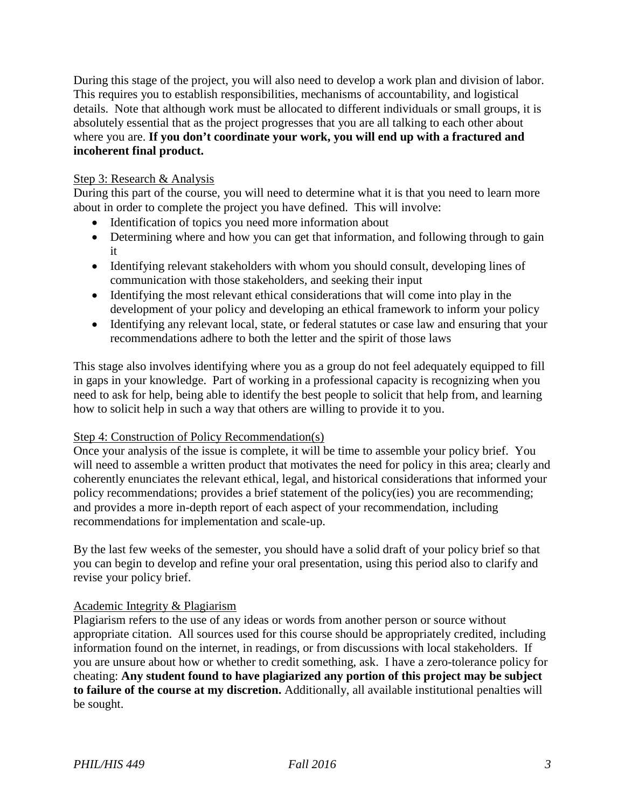During this stage of the project, you will also need to develop a work plan and division of labor. This requires you to establish responsibilities, mechanisms of accountability, and logistical details. Note that although work must be allocated to different individuals or small groups, it is absolutely essential that as the project progresses that you are all talking to each other about where you are. **If you don't coordinate your work, you will end up with a fractured and incoherent final product.**

## Step 3: Research & Analysis

During this part of the course, you will need to determine what it is that you need to learn more about in order to complete the project you have defined. This will involve:

- Identification of topics you need more information about
- Determining where and how you can get that information, and following through to gain it
- Identifying relevant stakeholders with whom you should consult, developing lines of communication with those stakeholders, and seeking their input
- Identifying the most relevant ethical considerations that will come into play in the development of your policy and developing an ethical framework to inform your policy
- Identifying any relevant local, state, or federal statutes or case law and ensuring that your recommendations adhere to both the letter and the spirit of those laws

This stage also involves identifying where you as a group do not feel adequately equipped to fill in gaps in your knowledge. Part of working in a professional capacity is recognizing when you need to ask for help, being able to identify the best people to solicit that help from, and learning how to solicit help in such a way that others are willing to provide it to you.

### Step 4: Construction of Policy Recommendation(s)

Once your analysis of the issue is complete, it will be time to assemble your policy brief. You will need to assemble a written product that motivates the need for policy in this area; clearly and coherently enunciates the relevant ethical, legal, and historical considerations that informed your policy recommendations; provides a brief statement of the policy(ies) you are recommending; and provides a more in-depth report of each aspect of your recommendation, including recommendations for implementation and scale-up.

By the last few weeks of the semester, you should have a solid draft of your policy brief so that you can begin to develop and refine your oral presentation, using this period also to clarify and revise your policy brief.

### Academic Integrity & Plagiarism

Plagiarism refers to the use of any ideas or words from another person or source without appropriate citation. All sources used for this course should be appropriately credited, including information found on the internet, in readings, or from discussions with local stakeholders. If you are unsure about how or whether to credit something, ask. I have a zero-tolerance policy for cheating: **Any student found to have plagiarized any portion of this project may be subject to failure of the course at my discretion.** Additionally, all available institutional penalties will be sought.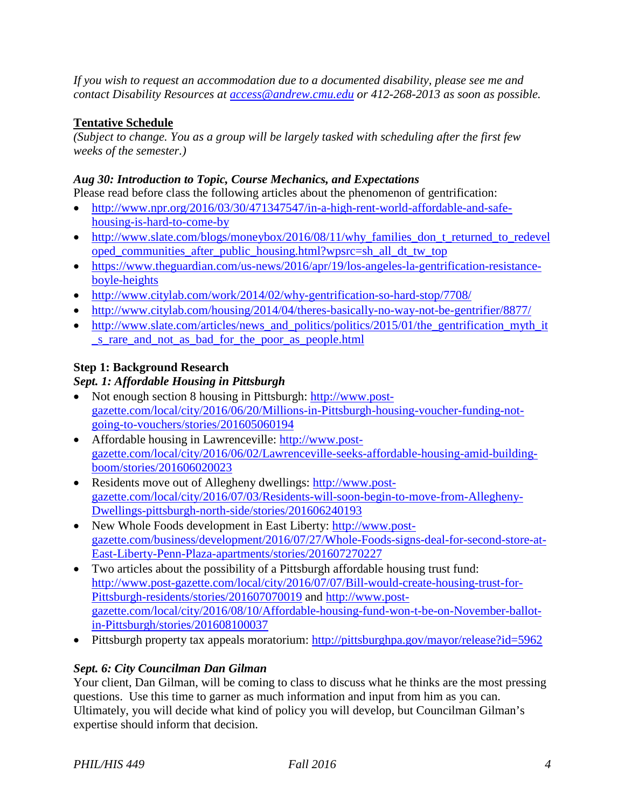*If you wish to request an accommodation due to a documented disability, please see me and contact Disability Resources at [access@andrew.cmu.edu](mailto:access@andrew.cmu.edu) or 412-268-2013 as soon as possible.*

# **Tentative Schedule**

*(Subject to change. You as a group will be largely tasked with scheduling after the first few weeks of the semester.)*

## *Aug 30: Introduction to Topic, Course Mechanics, and Expectations*

Please read before class the following articles about the phenomenon of gentrification:

- [http://www.npr.org/2016/03/30/471347547/in-a-high-rent-world-affordable-and-safe](http://www.npr.org/2016/03/30/471347547/in-a-high-rent-world-affordable-and-safe-housing-is-hard-to-come-by)[housing-is-hard-to-come-by](http://www.npr.org/2016/03/30/471347547/in-a-high-rent-world-affordable-and-safe-housing-is-hard-to-come-by)
- [http://www.slate.com/blogs/moneybox/2016/08/11/why\\_families\\_don\\_t\\_returned\\_to\\_redevel](http://www.slate.com/blogs/moneybox/2016/08/11/why_families_don_t_returned_to_redeveloped_communities_after_public_housing.html?wpsrc=sh_all_dt_tw_top) [oped\\_communities\\_after\\_public\\_housing.html?wpsrc=sh\\_all\\_dt\\_tw\\_top](http://www.slate.com/blogs/moneybox/2016/08/11/why_families_don_t_returned_to_redeveloped_communities_after_public_housing.html?wpsrc=sh_all_dt_tw_top)
- [https://www.theguardian.com/us-news/2016/apr/19/los-angeles-la-gentrification-resistance](https://www.theguardian.com/us-news/2016/apr/19/los-angeles-la-gentrification-resistance-boyle-heights)[boyle-heights](https://www.theguardian.com/us-news/2016/apr/19/los-angeles-la-gentrification-resistance-boyle-heights)
- <http://www.citylab.com/work/2014/02/why-gentrification-so-hard-stop/7708/>
- <http://www.citylab.com/housing/2014/04/theres-basically-no-way-not-be-gentrifier/8877/>
- http://www.slate.com/articles/news and politics/politics/2015/01/the gentrification myth it [\\_s\\_rare\\_and\\_not\\_as\\_bad\\_for\\_the\\_poor\\_as\\_people.html](http://www.slate.com/articles/news_and_politics/politics/2015/01/the_gentrification_myth_it_s_rare_and_not_as_bad_for_the_poor_as_people.html)

## **Step 1: Background Research**

## *Sept. 1: Affordable Housing in Pittsburgh*

- Not enough section 8 housing in Pittsburgh: [http://www.post](http://www.post-gazette.com/local/city/2016/06/20/Millions-in-Pittsburgh-housing-voucher-funding-not-going-to-vouchers/stories/201605060194)[gazette.com/local/city/2016/06/20/Millions-in-Pittsburgh-housing-voucher-funding-not](http://www.post-gazette.com/local/city/2016/06/20/Millions-in-Pittsburgh-housing-voucher-funding-not-going-to-vouchers/stories/201605060194)[going-to-vouchers/stories/201605060194](http://www.post-gazette.com/local/city/2016/06/20/Millions-in-Pittsburgh-housing-voucher-funding-not-going-to-vouchers/stories/201605060194)
- Affordable housing in Lawrenceville: [http://www.post](http://www.post-gazette.com/local/city/2016/06/02/Lawrenceville-seeks-affordable-housing-amid-building-boom/stories/201606020023)[gazette.com/local/city/2016/06/02/Lawrenceville-seeks-affordable-housing-amid-building](http://www.post-gazette.com/local/city/2016/06/02/Lawrenceville-seeks-affordable-housing-amid-building-boom/stories/201606020023)[boom/stories/201606020023](http://www.post-gazette.com/local/city/2016/06/02/Lawrenceville-seeks-affordable-housing-amid-building-boom/stories/201606020023)
- Residents move out of Allegheny dwellings: [http://www.post](http://www.post-gazette.com/local/city/2016/07/03/Residents-will-soon-begin-to-move-from-Allegheny-Dwellings-pittsburgh-north-side/stories/201606240193)[gazette.com/local/city/2016/07/03/Residents-will-soon-begin-to-move-from-Allegheny-](http://www.post-gazette.com/local/city/2016/07/03/Residents-will-soon-begin-to-move-from-Allegheny-Dwellings-pittsburgh-north-side/stories/201606240193)[Dwellings-pittsburgh-north-side/stories/201606240193](http://www.post-gazette.com/local/city/2016/07/03/Residents-will-soon-begin-to-move-from-Allegheny-Dwellings-pittsburgh-north-side/stories/201606240193)
- New Whole Foods development in East Liberty: [http://www.post](http://www.post-gazette.com/business/development/2016/07/27/Whole-Foods-signs-deal-for-second-store-at-East-Liberty-Penn-Plaza-apartments/stories/201607270227)[gazette.com/business/development/2016/07/27/Whole-Foods-signs-deal-for-second-store-at-](http://www.post-gazette.com/business/development/2016/07/27/Whole-Foods-signs-deal-for-second-store-at-East-Liberty-Penn-Plaza-apartments/stories/201607270227)[East-Liberty-Penn-Plaza-apartments/stories/201607270227](http://www.post-gazette.com/business/development/2016/07/27/Whole-Foods-signs-deal-for-second-store-at-East-Liberty-Penn-Plaza-apartments/stories/201607270227)
- Two articles about the possibility of a Pittsburgh affordable housing trust fund: [http://www.post-gazette.com/local/city/2016/07/07/Bill-would-create-housing-trust-for-](http://www.post-gazette.com/local/city/2016/07/07/Bill-would-create-housing-trust-for-Pittsburgh-residents/stories/201607070019)[Pittsburgh-residents/stories/201607070019](http://www.post-gazette.com/local/city/2016/07/07/Bill-would-create-housing-trust-for-Pittsburgh-residents/stories/201607070019) and [http://www.post](http://www.post-gazette.com/local/city/2016/08/10/Affordable-housing-fund-won-t-be-on-November-ballot-in-Pittsburgh/stories/201608100037)[gazette.com/local/city/2016/08/10/Affordable-housing-fund-won-t-be-on-November-ballot](http://www.post-gazette.com/local/city/2016/08/10/Affordable-housing-fund-won-t-be-on-November-ballot-in-Pittsburgh/stories/201608100037)[in-Pittsburgh/stories/201608100037](http://www.post-gazette.com/local/city/2016/08/10/Affordable-housing-fund-won-t-be-on-November-ballot-in-Pittsburgh/stories/201608100037)
- Pittsburgh property tax appeals moratorium:<http://pittsburghpa.gov/mayor/release?id=5962>

## *Sept. 6: City Councilman Dan Gilman*

Your client, Dan Gilman, will be coming to class to discuss what he thinks are the most pressing questions. Use this time to garner as much information and input from him as you can. Ultimately, you will decide what kind of policy you will develop, but Councilman Gilman's expertise should inform that decision.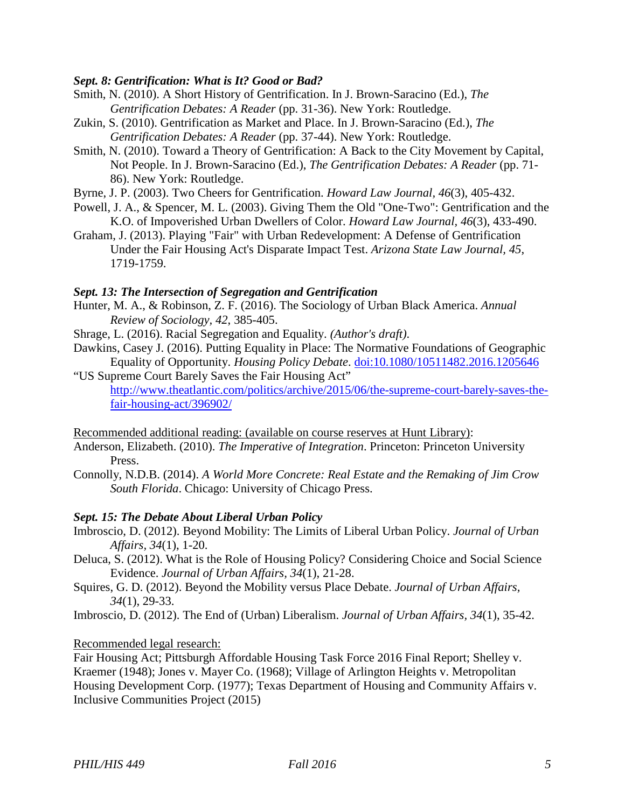### *Sept. 8: Gentrification: What is It? Good or Bad?*

- Smith, N. (2010). A Short History of Gentrification. In J. Brown-Saracino (Ed.), *The Gentrification Debates: A Reader* (pp. 31-36). New York: Routledge.
- Zukin, S. (2010). Gentrification as Market and Place. In J. Brown-Saracino (Ed.), *The Gentrification Debates: A Reader* (pp. 37-44). New York: Routledge.
- Smith, N. (2010). Toward a Theory of Gentrification: A Back to the City Movement by Capital, Not People. In J. Brown-Saracino (Ed.), *The Gentrification Debates: A Reader* (pp. 71- 86). New York: Routledge.
- Byrne, J. P. (2003). Two Cheers for Gentrification. *Howard Law Journal, 46*(3), 405-432.
- Powell, J. A., & Spencer, M. L. (2003). Giving Them the Old "One-Two": Gentrification and the K.O. of Impoverished Urban Dwellers of Color. *Howard Law Journal, 46*(3), 433-490.
- Graham, J. (2013). Playing "Fair" with Urban Redevelopment: A Defense of Gentrification Under the Fair Housing Act's Disparate Impact Test. *Arizona State Law Journal, 45*, 1719-1759.

#### *Sept. 13: The Intersection of Segregation and Gentrification*

- Hunter, M. A., & Robinson, Z. F. (2016). The Sociology of Urban Black America. *Annual Review of Sociology, 42*, 385-405.
- Shrage, L. (2016). Racial Segregation and Equality. *(Author's draft)*.
- Dawkins, Casey J. (2016). Putting Equality in Place: The Normative Foundations of Geographic Equality of Opportunity. *Housing Policy Debate*. [doi:10.1080/10511482.2016.1205646](http://dx.doi.org/10.1080/10511482.2016.1205646)
- "US Supreme Court Barely Saves the Fair Housing Act" [http://www.theatlantic.com/politics/archive/2015/06/the-supreme-court-barely-saves-the](http://www.theatlantic.com/politics/archive/2015/06/the-supreme-court-barely-saves-the-fair-housing-act/396902/)[fair-housing-act/396902/](http://www.theatlantic.com/politics/archive/2015/06/the-supreme-court-barely-saves-the-fair-housing-act/396902/)
- Recommended additional reading: (available on course reserves at Hunt Library):
- Anderson, Elizabeth. (2010). *The Imperative of Integration*. Princeton: Princeton University Press.
- Connolly, N.D.B. (2014). *A World More Concrete: Real Estate and the Remaking of Jim Crow South Florida*. Chicago: University of Chicago Press.

#### *Sept. 15: The Debate About Liberal Urban Policy*

- Imbroscio, D. (2012). Beyond Mobility: The Limits of Liberal Urban Policy. *Journal of Urban Affairs, 34*(1), 1-20.
- Deluca, S. (2012). What is the Role of Housing Policy? Considering Choice and Social Science Evidence. *Journal of Urban Affairs, 34*(1), 21-28.
- Squires, G. D. (2012). Beyond the Mobility versus Place Debate. *Journal of Urban Affairs, 34*(1), 29-33.

Imbroscio, D. (2012). The End of (Urban) Liberalism. *Journal of Urban Affairs, 34*(1), 35-42.

#### Recommended legal research:

Fair Housing Act; Pittsburgh Affordable Housing Task Force 2016 Final Report; Shelley v. Kraemer (1948); Jones v. Mayer Co. (1968); Village of Arlington Heights v. Metropolitan Housing Development Corp. (1977); Texas Department of Housing and Community Affairs v. Inclusive Communities Project (2015)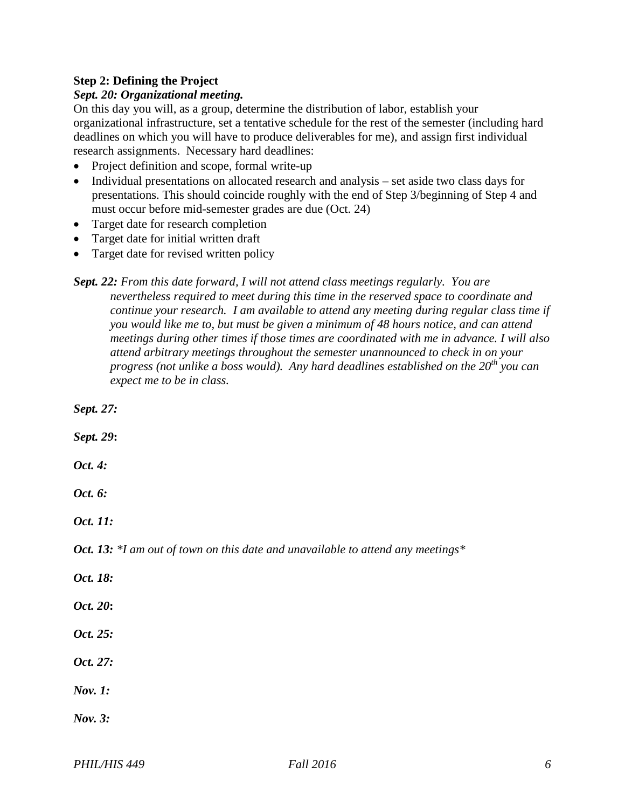## **Step 2: Defining the Project**

### *Sept. 20: Organizational meeting.*

On this day you will, as a group, determine the distribution of labor, establish your organizational infrastructure, set a tentative schedule for the rest of the semester (including hard deadlines on which you will have to produce deliverables for me), and assign first individual research assignments. Necessary hard deadlines:

- Project definition and scope, formal write-up
- Individual presentations on allocated research and analysis set aside two class days for presentations. This should coincide roughly with the end of Step 3/beginning of Step 4 and must occur before mid-semester grades are due (Oct. 24)
- Target date for research completion
- Target date for initial written draft
- Target date for revised written policy
- *Sept. 22: From this date forward, I will not attend class meetings regularly. You are nevertheless required to meet during this time in the reserved space to coordinate and continue your research. I am available to attend any meeting during regular class time if you would like me to, but must be given a minimum of 48 hours notice, and can attend meetings during other times if those times are coordinated with me in advance. I will also attend arbitrary meetings throughout the semester unannounced to check in on your progress (not unlike a boss would). Any hard deadlines established on the 20th you can expect me to be in class.*

*Sept. 27:* 

*Sept. 29***:**

*Oct. 4:*

*Oct. 6:* 

*Oct. 11:* 

*Oct. 13: \*I am out of town on this date and unavailable to attend any meetings\**

- *Oct. 18:*
- *Oct. 20***:**
- *Oct. 25:*

*Oct. 27:* 

*Nov. 1:* 

*Nov. 3:*